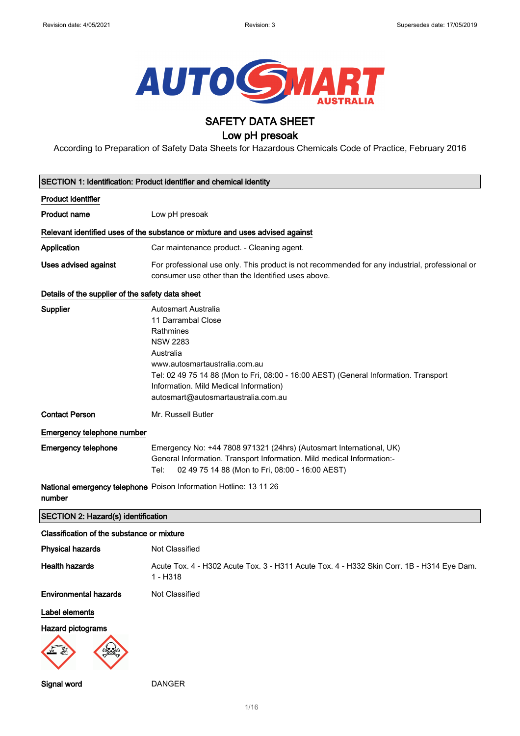

## SAFETY DATA SHEET

### Low pH presoak

According to Preparation of Safety Data Sheets for Hazardous Chemicals Code of Practice, February 2016

| SECTION 1: Identification: Product identifier and chemical identity |                                                                                                                                                                                                                                                                                                         |  |  |
|---------------------------------------------------------------------|---------------------------------------------------------------------------------------------------------------------------------------------------------------------------------------------------------------------------------------------------------------------------------------------------------|--|--|
| <b>Product identifier</b>                                           |                                                                                                                                                                                                                                                                                                         |  |  |
| <b>Product name</b>                                                 | Low pH presoak                                                                                                                                                                                                                                                                                          |  |  |
|                                                                     | Relevant identified uses of the substance or mixture and uses advised against                                                                                                                                                                                                                           |  |  |
| Application                                                         | Car maintenance product. - Cleaning agent.                                                                                                                                                                                                                                                              |  |  |
| <b>Uses advised against</b>                                         | For professional use only. This product is not recommended for any industrial, professional or<br>consumer use other than the Identified uses above.                                                                                                                                                    |  |  |
| Details of the supplier of the safety data sheet                    |                                                                                                                                                                                                                                                                                                         |  |  |
| Supplier                                                            | <b>Autosmart Australia</b><br>11 Darrambal Close<br>Rathmines<br><b>NSW 2283</b><br>Australia<br>www.autosmartaustralia.com.au<br>Tel: 02 49 75 14 88 (Mon to Fri, 08:00 - 16:00 AEST) (General Information. Transport<br>Information. Mild Medical Information)<br>autosmart@autosmartaustralia.com.au |  |  |
| <b>Contact Person</b>                                               | Mr. Russell Butler                                                                                                                                                                                                                                                                                      |  |  |
| Emergency telephone number                                          |                                                                                                                                                                                                                                                                                                         |  |  |
| <b>Emergency telephone</b>                                          | Emergency No: +44 7808 971321 (24hrs) (Autosmart International, UK)<br>General Information. Transport Information. Mild medical Information:-<br>02 49 75 14 88 (Mon to Fri, 08:00 - 16:00 AEST)<br>Tel:                                                                                                |  |  |
| number                                                              | National emergency telephone Poison Information Hotline: 13 11 26                                                                                                                                                                                                                                       |  |  |
| <b>SECTION 2: Hazard(s) identification</b>                          |                                                                                                                                                                                                                                                                                                         |  |  |
| Classification of the substance or mixture                          |                                                                                                                                                                                                                                                                                                         |  |  |
| <b>Physical hazards</b>                                             | Not Classified                                                                                                                                                                                                                                                                                          |  |  |
| <b>Health hazards</b>                                               | Acute Tox. 4 - H302 Acute Tox. 3 - H311 Acute Tox. 4 - H332 Skin Corr. 1B - H314 Eye Dam.<br>1 - H318                                                                                                                                                                                                   |  |  |
| <b>Environmental hazards</b>                                        | Not Classified                                                                                                                                                                                                                                                                                          |  |  |
| Label elements                                                      |                                                                                                                                                                                                                                                                                                         |  |  |
| <b>Hazard pictograms</b>                                            |                                                                                                                                                                                                                                                                                                         |  |  |
| Signal word                                                         | <b>DANGER</b>                                                                                                                                                                                                                                                                                           |  |  |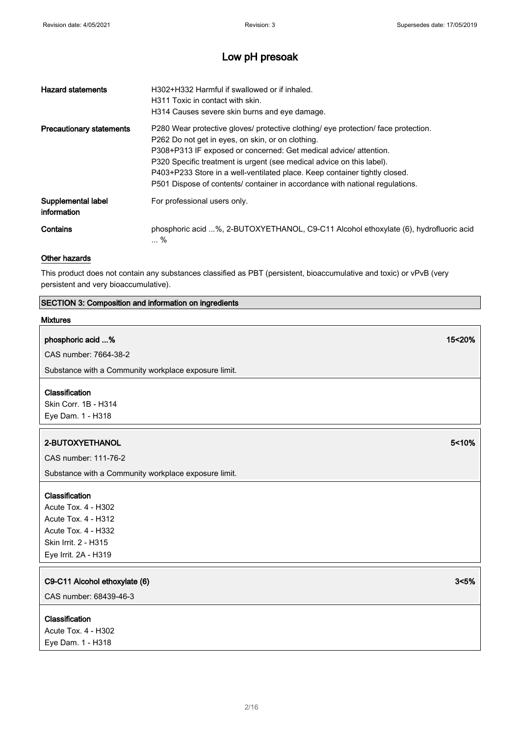| <b>Hazard statements</b>          | H302+H332 Harmful if swallowed or if inhaled.<br>H311 Toxic in contact with skin.<br>H314 Causes severe skin burns and eye damage.                                                                                                                                                                                                                                                                                                                  |
|-----------------------------------|-----------------------------------------------------------------------------------------------------------------------------------------------------------------------------------------------------------------------------------------------------------------------------------------------------------------------------------------------------------------------------------------------------------------------------------------------------|
| <b>Precautionary statements</b>   | P280 Wear protective gloves/ protective clothing/ eye protection/ face protection.<br>P262 Do not get in eyes, on skin, or on clothing.<br>P308+P313 IF exposed or concerned: Get medical advice/ attention.<br>P320 Specific treatment is urgent (see medical advice on this label).<br>P403+P233 Store in a well-ventilated place. Keep container tightly closed.<br>P501 Dispose of contents/ container in accordance with national regulations. |
| Supplemental label<br>information | For professional users only.                                                                                                                                                                                                                                                                                                                                                                                                                        |
| Contains                          | phosphoric acid %, 2-BUTOXYETHANOL, C9-C11 Alcohol ethoxylate (6), hydrofluoric acid<br>%                                                                                                                                                                                                                                                                                                                                                           |

#### Other hazards

This product does not contain any substances classified as PBT (persistent, bioaccumulative and toxic) or vPvB (very persistent and very bioaccumulative).

|  |  | SECTION 3: Composition and information on ingredients |  |
|--|--|-------------------------------------------------------|--|
|  |  |                                                       |  |

### Mixtures

### phosphoric acid ...% 15<20%

CAS number: 7664-38-2

Substance with a Community workplace exposure limit.

#### Classification

Skin Corr. 1B - H314 Eye Dam. 1 - H318

#### 2-BUTOXYETHANOL 5<10%

CAS number: 111-76-2

Substance with a Community workplace exposure limit.

#### Classification

Acute Tox. 4 - H302 Acute Tox. 4 - H312 Acute Tox. 4 - H332 Skin Irrit. 2 - H315 Eye Irrit. 2A - H319

### C9-C11 Alcohol ethoxylate (6) 3<5%

CAS number: 68439-46-3

#### Classification

Acute Tox. 4 - H302 Eye Dam. 1 - H318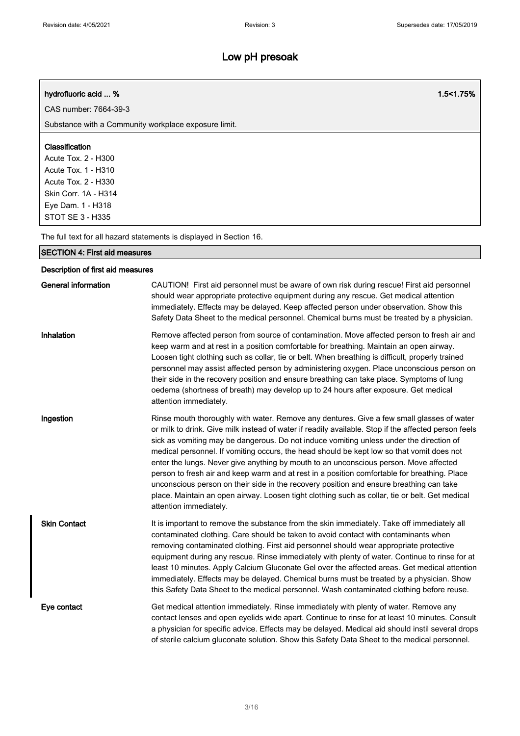### hydrofluoric acid ... % 1.5<1.75%

CAS number: 7664-39-3

Substance with a Community workplace exposure limit.

### Classification

Acute Tox. 2 - H300 Acute Tox. 1 - H310 Acute Tox. 2 - H330 Skin Corr. 1A - H314 Eye Dam. 1 - H318 STOT SE 3 - H335

The full text for all hazard statements is displayed in Section 16.

## SECTION 4: First aid measures Description of first aid measures

| <b>General information</b> | CAUTION! First aid personnel must be aware of own risk during rescue! First aid personnel<br>should wear appropriate protective equipment during any rescue. Get medical attention<br>immediately. Effects may be delayed. Keep affected person under observation. Show this<br>Safety Data Sheet to the medical personnel. Chemical burns must be treated by a physician.                                                                                                                                                                                                                                                                                                                                                                                                                                |
|----------------------------|-----------------------------------------------------------------------------------------------------------------------------------------------------------------------------------------------------------------------------------------------------------------------------------------------------------------------------------------------------------------------------------------------------------------------------------------------------------------------------------------------------------------------------------------------------------------------------------------------------------------------------------------------------------------------------------------------------------------------------------------------------------------------------------------------------------|
| Inhalation                 | Remove affected person from source of contamination. Move affected person to fresh air and<br>keep warm and at rest in a position comfortable for breathing. Maintain an open airway.<br>Loosen tight clothing such as collar, tie or belt. When breathing is difficult, properly trained<br>personnel may assist affected person by administering oxygen. Place unconscious person on<br>their side in the recovery position and ensure breathing can take place. Symptoms of lung<br>oedema (shortness of breath) may develop up to 24 hours after exposure. Get medical<br>attention immediately.                                                                                                                                                                                                      |
| Ingestion                  | Rinse mouth thoroughly with water. Remove any dentures. Give a few small glasses of water<br>or milk to drink. Give milk instead of water if readily available. Stop if the affected person feels<br>sick as vomiting may be dangerous. Do not induce vomiting unless under the direction of<br>medical personnel. If vomiting occurs, the head should be kept low so that vomit does not<br>enter the lungs. Never give anything by mouth to an unconscious person. Move affected<br>person to fresh air and keep warm and at rest in a position comfortable for breathing. Place<br>unconscious person on their side in the recovery position and ensure breathing can take<br>place. Maintain an open airway. Loosen tight clothing such as collar, tie or belt. Get medical<br>attention immediately. |
| <b>Skin Contact</b>        | It is important to remove the substance from the skin immediately. Take off immediately all<br>contaminated clothing. Care should be taken to avoid contact with contaminants when<br>removing contaminated clothing. First aid personnel should wear appropriate protective<br>equipment during any rescue. Rinse immediately with plenty of water. Continue to rinse for at<br>least 10 minutes. Apply Calcium Gluconate Gel over the affected areas. Get medical attention<br>immediately. Effects may be delayed. Chemical burns must be treated by a physician. Show<br>this Safety Data Sheet to the medical personnel. Wash contaminated clothing before reuse.                                                                                                                                    |
| Eye contact                | Get medical attention immediately. Rinse immediately with plenty of water. Remove any<br>contact lenses and open eyelids wide apart. Continue to rinse for at least 10 minutes. Consult<br>a physician for specific advice. Effects may be delayed. Medical aid should instil several drops<br>of sterile calcium gluconate solution. Show this Safety Data Sheet to the medical personnel.                                                                                                                                                                                                                                                                                                                                                                                                               |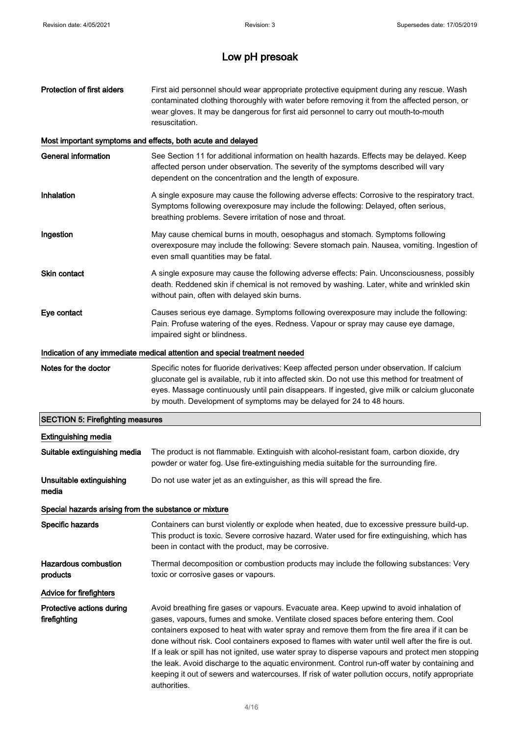| Protection of first aiders                            | First aid personnel should wear appropriate protective equipment during any rescue. Wash<br>contaminated clothing thoroughly with water before removing it from the affected person, or<br>wear gloves. It may be dangerous for first aid personnel to carry out mouth-to-mouth<br>resuscitation.                                                                                                                                                                                                                                                                                                                                                                                                            |
|-------------------------------------------------------|--------------------------------------------------------------------------------------------------------------------------------------------------------------------------------------------------------------------------------------------------------------------------------------------------------------------------------------------------------------------------------------------------------------------------------------------------------------------------------------------------------------------------------------------------------------------------------------------------------------------------------------------------------------------------------------------------------------|
|                                                       | Most important symptoms and effects, both acute and delayed                                                                                                                                                                                                                                                                                                                                                                                                                                                                                                                                                                                                                                                  |
| <b>General information</b>                            | See Section 11 for additional information on health hazards. Effects may be delayed. Keep<br>affected person under observation. The severity of the symptoms described will vary<br>dependent on the concentration and the length of exposure.                                                                                                                                                                                                                                                                                                                                                                                                                                                               |
| Inhalation                                            | A single exposure may cause the following adverse effects: Corrosive to the respiratory tract.<br>Symptoms following overexposure may include the following: Delayed, often serious,<br>breathing problems. Severe irritation of nose and throat.                                                                                                                                                                                                                                                                                                                                                                                                                                                            |
| Ingestion                                             | May cause chemical burns in mouth, oesophagus and stomach. Symptoms following<br>overexposure may include the following: Severe stomach pain. Nausea, vomiting. Ingestion of<br>even small quantities may be fatal.                                                                                                                                                                                                                                                                                                                                                                                                                                                                                          |
| <b>Skin contact</b>                                   | A single exposure may cause the following adverse effects: Pain. Unconsciousness, possibly<br>death. Reddened skin if chemical is not removed by washing. Later, white and wrinkled skin<br>without pain, often with delayed skin burns.                                                                                                                                                                                                                                                                                                                                                                                                                                                                     |
| Eye contact                                           | Causes serious eye damage. Symptoms following overexposure may include the following:<br>Pain. Profuse watering of the eyes. Redness. Vapour or spray may cause eye damage,<br>impaired sight or blindness.                                                                                                                                                                                                                                                                                                                                                                                                                                                                                                  |
|                                                       | Indication of any immediate medical attention and special treatment needed                                                                                                                                                                                                                                                                                                                                                                                                                                                                                                                                                                                                                                   |
| Notes for the doctor                                  | Specific notes for fluoride derivatives: Keep affected person under observation. If calcium<br>gluconate gel is available, rub it into affected skin. Do not use this method for treatment of<br>eyes. Massage continuously until pain disappears. If ingested, give milk or calcium gluconate<br>by mouth. Development of symptoms may be delayed for 24 to 48 hours.                                                                                                                                                                                                                                                                                                                                       |
| <b>SECTION 5: Firefighting measures</b>               |                                                                                                                                                                                                                                                                                                                                                                                                                                                                                                                                                                                                                                                                                                              |
| <b>Extinguishing media</b>                            |                                                                                                                                                                                                                                                                                                                                                                                                                                                                                                                                                                                                                                                                                                              |
| Suitable extinguishing media                          | The product is not flammable. Extinguish with alcohol-resistant foam, carbon dioxide, dry<br>powder or water fog. Use fire-extinguishing media suitable for the surrounding fire.                                                                                                                                                                                                                                                                                                                                                                                                                                                                                                                            |
| Unsuitable extinguishing<br>media                     | Do not use water jet as an extinguisher, as this will spread the fire.                                                                                                                                                                                                                                                                                                                                                                                                                                                                                                                                                                                                                                       |
| Special hazards arising from the substance or mixture |                                                                                                                                                                                                                                                                                                                                                                                                                                                                                                                                                                                                                                                                                                              |
| Specific hazards                                      | Containers can burst violently or explode when heated, due to excessive pressure build-up.<br>This product is toxic. Severe corrosive hazard. Water used for fire extinguishing, which has<br>been in contact with the product, may be corrosive.                                                                                                                                                                                                                                                                                                                                                                                                                                                            |
| <b>Hazardous combustion</b><br>products               | Thermal decomposition or combustion products may include the following substances: Very<br>toxic or corrosive gases or vapours.                                                                                                                                                                                                                                                                                                                                                                                                                                                                                                                                                                              |
| <b>Advice for firefighters</b>                        |                                                                                                                                                                                                                                                                                                                                                                                                                                                                                                                                                                                                                                                                                                              |
| Protective actions during<br>firefighting             | Avoid breathing fire gases or vapours. Evacuate area. Keep upwind to avoid inhalation of<br>gases, vapours, fumes and smoke. Ventilate closed spaces before entering them. Cool<br>containers exposed to heat with water spray and remove them from the fire area if it can be<br>done without risk. Cool containers exposed to flames with water until well after the fire is out.<br>If a leak or spill has not ignited, use water spray to disperse vapours and protect men stopping<br>the leak. Avoid discharge to the aquatic environment. Control run-off water by containing and<br>keeping it out of sewers and watercourses. If risk of water pollution occurs, notify appropriate<br>authorities. |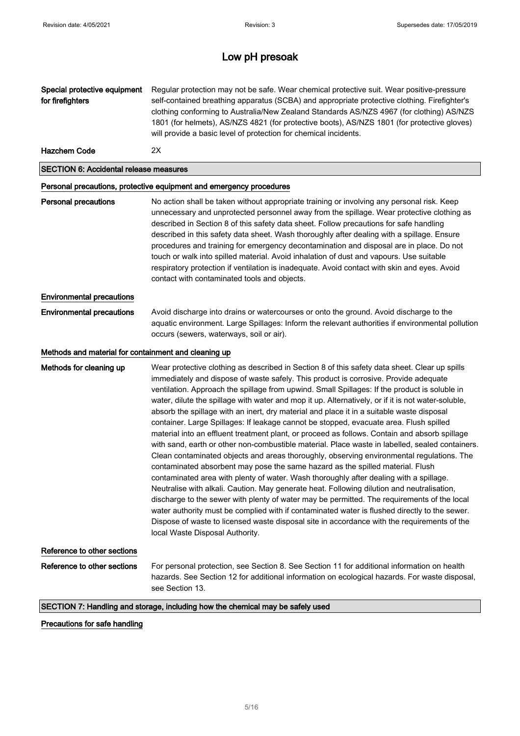| Special protective equipment<br>for firefighters     | Regular protection may not be safe. Wear chemical protective suit. Wear positive-pressure<br>self-contained breathing apparatus (SCBA) and appropriate protective clothing. Firefighter's<br>clothing conforming to Australia/New Zealand Standards AS/NZS 4967 (for clothing) AS/NZS<br>1801 (for helmets), AS/NZS 4821 (for protective boots), AS/NZS 1801 (for protective gloves)<br>will provide a basic level of protection for chemical incidents.                                                                                                                                                                                                                                                                                                                                                                                                                                                                                                                                                                                                                                                                                                                                                                                                                                                                                                                                                                                                                                         |
|------------------------------------------------------|--------------------------------------------------------------------------------------------------------------------------------------------------------------------------------------------------------------------------------------------------------------------------------------------------------------------------------------------------------------------------------------------------------------------------------------------------------------------------------------------------------------------------------------------------------------------------------------------------------------------------------------------------------------------------------------------------------------------------------------------------------------------------------------------------------------------------------------------------------------------------------------------------------------------------------------------------------------------------------------------------------------------------------------------------------------------------------------------------------------------------------------------------------------------------------------------------------------------------------------------------------------------------------------------------------------------------------------------------------------------------------------------------------------------------------------------------------------------------------------------------|
| <b>Hazchem Code</b>                                  | 2X                                                                                                                                                                                                                                                                                                                                                                                                                                                                                                                                                                                                                                                                                                                                                                                                                                                                                                                                                                                                                                                                                                                                                                                                                                                                                                                                                                                                                                                                                               |
| <b>SECTION 6: Accidental release measures</b>        |                                                                                                                                                                                                                                                                                                                                                                                                                                                                                                                                                                                                                                                                                                                                                                                                                                                                                                                                                                                                                                                                                                                                                                                                                                                                                                                                                                                                                                                                                                  |
|                                                      | Personal precautions, protective equipment and emergency procedures                                                                                                                                                                                                                                                                                                                                                                                                                                                                                                                                                                                                                                                                                                                                                                                                                                                                                                                                                                                                                                                                                                                                                                                                                                                                                                                                                                                                                              |
| <b>Personal precautions</b>                          | No action shall be taken without appropriate training or involving any personal risk. Keep<br>unnecessary and unprotected personnel away from the spillage. Wear protective clothing as<br>described in Section 8 of this safety data sheet. Follow precautions for safe handling<br>described in this safety data sheet. Wash thoroughly after dealing with a spillage. Ensure<br>procedures and training for emergency decontamination and disposal are in place. Do not<br>touch or walk into spilled material. Avoid inhalation of dust and vapours. Use suitable<br>respiratory protection if ventilation is inadequate. Avoid contact with skin and eyes. Avoid<br>contact with contaminated tools and objects.                                                                                                                                                                                                                                                                                                                                                                                                                                                                                                                                                                                                                                                                                                                                                                            |
| <b>Environmental precautions</b>                     |                                                                                                                                                                                                                                                                                                                                                                                                                                                                                                                                                                                                                                                                                                                                                                                                                                                                                                                                                                                                                                                                                                                                                                                                                                                                                                                                                                                                                                                                                                  |
| <b>Environmental precautions</b>                     | Avoid discharge into drains or watercourses or onto the ground. Avoid discharge to the<br>aquatic environment. Large Spillages: Inform the relevant authorities if environmental pollution<br>occurs (sewers, waterways, soil or air).                                                                                                                                                                                                                                                                                                                                                                                                                                                                                                                                                                                                                                                                                                                                                                                                                                                                                                                                                                                                                                                                                                                                                                                                                                                           |
| Methods and material for containment and cleaning up |                                                                                                                                                                                                                                                                                                                                                                                                                                                                                                                                                                                                                                                                                                                                                                                                                                                                                                                                                                                                                                                                                                                                                                                                                                                                                                                                                                                                                                                                                                  |
| Methods for cleaning up                              | Wear protective clothing as described in Section 8 of this safety data sheet. Clear up spills<br>immediately and dispose of waste safely. This product is corrosive. Provide adequate<br>ventilation. Approach the spillage from upwind. Small Spillages: If the product is soluble in<br>water, dilute the spillage with water and mop it up. Alternatively, or if it is not water-soluble,<br>absorb the spillage with an inert, dry material and place it in a suitable waste disposal<br>container. Large Spillages: If leakage cannot be stopped, evacuate area. Flush spilled<br>material into an effluent treatment plant, or proceed as follows. Contain and absorb spillage<br>with sand, earth or other non-combustible material. Place waste in labelled, sealed containers.<br>Clean contaminated objects and areas thoroughly, observing environmental regulations. The<br>contaminated absorbent may pose the same hazard as the spilled material. Flush<br>contaminated area with plenty of water. Wash thoroughly after dealing with a spillage.<br>Neutralise with alkali. Caution. May generate heat. Following dilution and neutralisation,<br>discharge to the sewer with plenty of water may be permitted. The requirements of the local<br>water authority must be complied with if contaminated water is flushed directly to the sewer.<br>Dispose of waste to licensed waste disposal site in accordance with the requirements of the<br>local Waste Disposal Authority. |
| Reference to other sections                          |                                                                                                                                                                                                                                                                                                                                                                                                                                                                                                                                                                                                                                                                                                                                                                                                                                                                                                                                                                                                                                                                                                                                                                                                                                                                                                                                                                                                                                                                                                  |
| Reference to other sections                          | For personal protection, see Section 8. See Section 11 for additional information on health<br>hazards. See Section 12 for additional information on ecological hazards. For waste disposal,<br>see Section 13.                                                                                                                                                                                                                                                                                                                                                                                                                                                                                                                                                                                                                                                                                                                                                                                                                                                                                                                                                                                                                                                                                                                                                                                                                                                                                  |
|                                                      | SECTION 7: Handling and storage, including how the chemical may be safely used                                                                                                                                                                                                                                                                                                                                                                                                                                                                                                                                                                                                                                                                                                                                                                                                                                                                                                                                                                                                                                                                                                                                                                                                                                                                                                                                                                                                                   |

Precautions for safe handling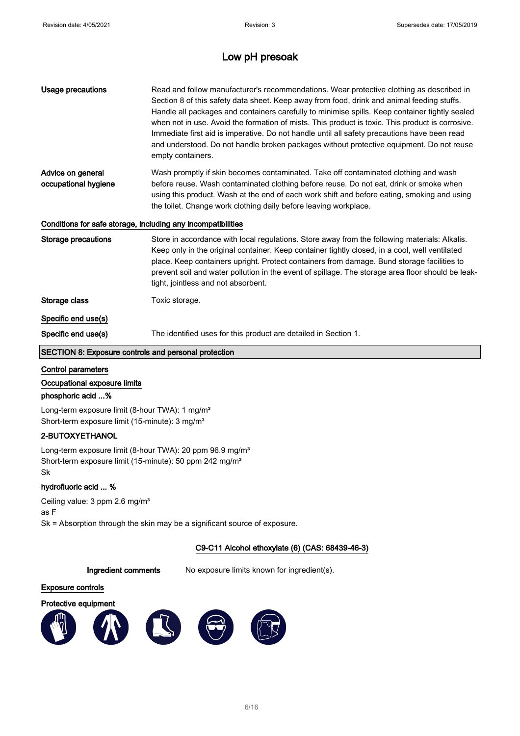| Usage precautions                                            | Read and follow manufacturer's recommendations. Wear protective clothing as described in<br>Section 8 of this safety data sheet. Keep away from food, drink and animal feeding stuffs.<br>Handle all packages and containers carefully to minimise spills. Keep container tightly sealed<br>when not in use. Avoid the formation of mists. This product is toxic. This product is corrosive.<br>Immediate first aid is imperative. Do not handle until all safety precautions have been read<br>and understood. Do not handle broken packages without protective equipment. Do not reuse<br>empty containers. |
|--------------------------------------------------------------|---------------------------------------------------------------------------------------------------------------------------------------------------------------------------------------------------------------------------------------------------------------------------------------------------------------------------------------------------------------------------------------------------------------------------------------------------------------------------------------------------------------------------------------------------------------------------------------------------------------|
| Advice on general<br>occupational hygiene                    | Wash promptly if skin becomes contaminated. Take off contaminated clothing and wash<br>before reuse. Wash contaminated clothing before reuse. Do not eat, drink or smoke when<br>using this product. Wash at the end of each work shift and before eating, smoking and using<br>the toilet. Change work clothing daily before leaving workplace.                                                                                                                                                                                                                                                              |
| Conditions for safe storage, including any incompatibilities |                                                                                                                                                                                                                                                                                                                                                                                                                                                                                                                                                                                                               |
| <b>Storage precautions</b>                                   | Store in accordance with local regulations. Store away from the following materials: Alkalis.<br>Keep only in the original container. Keep container tightly closed, in a cool, well ventilated<br>place. Keep containers upright. Protect containers from damage. Bund storage facilities to<br>prevent soil and water pollution in the event of spillage. The storage area floor should be leak-<br>tight, jointless and not absorbent.                                                                                                                                                                     |
| Storage class                                                | Toxic storage.                                                                                                                                                                                                                                                                                                                                                                                                                                                                                                                                                                                                |
| Specific end use(s)                                          |                                                                                                                                                                                                                                                                                                                                                                                                                                                                                                                                                                                                               |
| Specific end use(s)                                          | The identified uses for this product are detailed in Section 1.                                                                                                                                                                                                                                                                                                                                                                                                                                                                                                                                               |

#### SECTION 8: Exposure controls and personal protection

- Control parameters
- Occupational exposure limits

#### phosphoric acid ...%

Long-term exposure limit (8-hour TWA): 1 mg/m<sup>3</sup> Short-term exposure limit (15-minute): 3 mg/m<sup>3</sup>

### 2-BUTOXYETHANOL

Long-term exposure limit (8-hour TWA): 20 ppm 96.9 mg/m<sup>3</sup> Short-term exposure limit (15-minute): 50 ppm 242 mg/m<sup>3</sup> Sk

#### hydrofluoric acid ... %

Ceiling value: 3 ppm 2.6 mg/m<sup>3</sup> as F Sk = Absorption through the skin may be a significant source of exposure.

#### C9-C11 Alcohol ethoxylate (6) (CAS: 68439-46-3)

Ingredient comments No exposure limits known for ingredient(s).

#### Exposure controls

#### Protective equipment

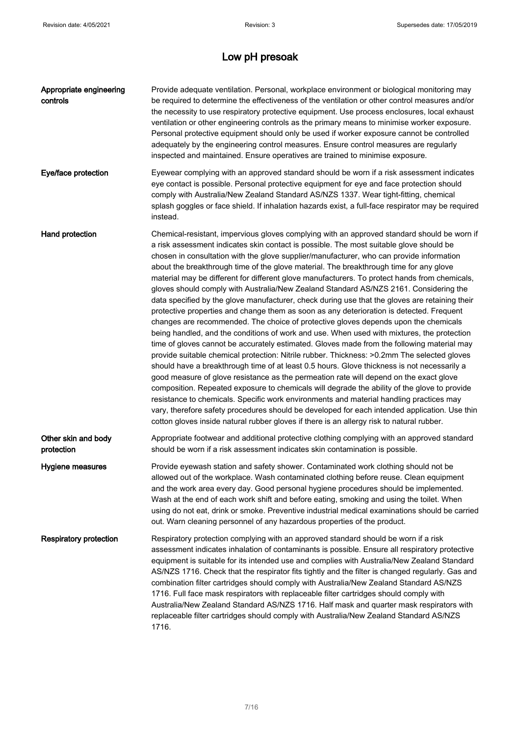| Appropriate engineering<br>controls | Provide adequate ventilation. Personal, workplace environment or biological monitoring may<br>be required to determine the effectiveness of the ventilation or other control measures and/or<br>the necessity to use respiratory protective equipment. Use process enclosures, local exhaust<br>ventilation or other engineering controls as the primary means to minimise worker exposure.<br>Personal protective equipment should only be used if worker exposure cannot be controlled<br>adequately by the engineering control measures. Ensure control measures are regularly<br>inspected and maintained. Ensure operatives are trained to minimise exposure.                                                                                                                                                                                                                                                                                                                                                                                                                                                                                                                                                                                                                                                                                                                                                                                                                                                                                                                                                                                                                                                                       |
|-------------------------------------|------------------------------------------------------------------------------------------------------------------------------------------------------------------------------------------------------------------------------------------------------------------------------------------------------------------------------------------------------------------------------------------------------------------------------------------------------------------------------------------------------------------------------------------------------------------------------------------------------------------------------------------------------------------------------------------------------------------------------------------------------------------------------------------------------------------------------------------------------------------------------------------------------------------------------------------------------------------------------------------------------------------------------------------------------------------------------------------------------------------------------------------------------------------------------------------------------------------------------------------------------------------------------------------------------------------------------------------------------------------------------------------------------------------------------------------------------------------------------------------------------------------------------------------------------------------------------------------------------------------------------------------------------------------------------------------------------------------------------------------|
| Eye/face protection                 | Eyewear complying with an approved standard should be worn if a risk assessment indicates<br>eye contact is possible. Personal protective equipment for eye and face protection should<br>comply with Australia/New Zealand Standard AS/NZS 1337. Wear tight-fitting, chemical<br>splash goggles or face shield. If inhalation hazards exist, a full-face respirator may be required<br>instead.                                                                                                                                                                                                                                                                                                                                                                                                                                                                                                                                                                                                                                                                                                                                                                                                                                                                                                                                                                                                                                                                                                                                                                                                                                                                                                                                         |
| Hand protection                     | Chemical-resistant, impervious gloves complying with an approved standard should be worn if<br>a risk assessment indicates skin contact is possible. The most suitable glove should be<br>chosen in consultation with the glove supplier/manufacturer, who can provide information<br>about the breakthrough time of the glove material. The breakthrough time for any glove<br>material may be different for different glove manufacturers. To protect hands from chemicals,<br>gloves should comply with Australia/New Zealand Standard AS/NZS 2161. Considering the<br>data specified by the glove manufacturer, check during use that the gloves are retaining their<br>protective properties and change them as soon as any deterioration is detected. Frequent<br>changes are recommended. The choice of protective gloves depends upon the chemicals<br>being handled, and the conditions of work and use. When used with mixtures, the protection<br>time of gloves cannot be accurately estimated. Gloves made from the following material may<br>provide suitable chemical protection: Nitrile rubber. Thickness: >0.2mm The selected gloves<br>should have a breakthrough time of at least 0.5 hours. Glove thickness is not necessarily a<br>good measure of glove resistance as the permeation rate will depend on the exact glove<br>composition. Repeated exposure to chemicals will degrade the ability of the glove to provide<br>resistance to chemicals. Specific work environments and material handling practices may<br>vary, therefore safety procedures should be developed for each intended application. Use thin<br>cotton gloves inside natural rubber gloves if there is an allergy risk to natural rubber. |
| Other skin and body<br>protection   | Appropriate footwear and additional protective clothing complying with an approved standard<br>should be worn if a risk assessment indicates skin contamination is possible.                                                                                                                                                                                                                                                                                                                                                                                                                                                                                                                                                                                                                                                                                                                                                                                                                                                                                                                                                                                                                                                                                                                                                                                                                                                                                                                                                                                                                                                                                                                                                             |
| Hygiene measures                    | Provide eyewash station and safety shower. Contaminated work clothing should not be<br>allowed out of the workplace. Wash contaminated clothing before reuse. Clean equipment<br>and the work area every day. Good personal hygiene procedures should be implemented.<br>Wash at the end of each work shift and before eating, smoking and using the toilet. When<br>using do not eat, drink or smoke. Preventive industrial medical examinations should be carried<br>out. Warn cleaning personnel of any hazardous properties of the product.                                                                                                                                                                                                                                                                                                                                                                                                                                                                                                                                                                                                                                                                                                                                                                                                                                                                                                                                                                                                                                                                                                                                                                                          |
| <b>Respiratory protection</b>       | Respiratory protection complying with an approved standard should be worn if a risk<br>assessment indicates inhalation of contaminants is possible. Ensure all respiratory protective<br>equipment is suitable for its intended use and complies with Australia/New Zealand Standard<br>AS/NZS 1716. Check that the respirator fits tightly and the filter is changed regularly. Gas and<br>combination filter cartridges should comply with Australia/New Zealand Standard AS/NZS<br>1716. Full face mask respirators with replaceable filter cartridges should comply with<br>Australia/New Zealand Standard AS/NZS 1716. Half mask and quarter mask respirators with<br>replaceable filter cartridges should comply with Australia/New Zealand Standard AS/NZS<br>1716.                                                                                                                                                                                                                                                                                                                                                                                                                                                                                                                                                                                                                                                                                                                                                                                                                                                                                                                                                               |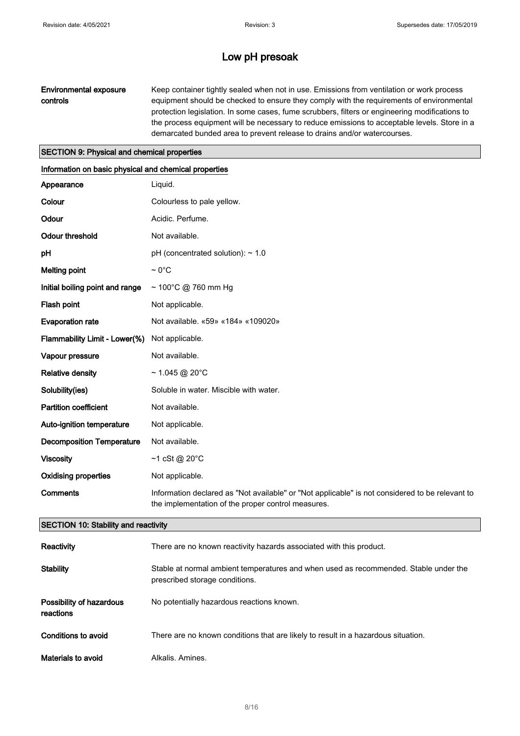### Environmental exposure controls

Keep container tightly sealed when not in use. Emissions from ventilation or work process equipment should be checked to ensure they comply with the requirements of environmental protection legislation. In some cases, fume scrubbers, filters or engineering modifications to the process equipment will be necessary to reduce emissions to acceptable levels. Store in a demarcated bunded area to prevent release to drains and/or watercourses.

#### SECTION 9: Physical and chemical properties

| Information on basic physical and chemical properties |                                                                                                                                                       |  |  |
|-------------------------------------------------------|-------------------------------------------------------------------------------------------------------------------------------------------------------|--|--|
| Appearance                                            | Liquid.                                                                                                                                               |  |  |
| Colour                                                | Colourless to pale yellow.                                                                                                                            |  |  |
| Odour                                                 | Acidic. Perfume.                                                                                                                                      |  |  |
| <b>Odour threshold</b>                                | Not available.                                                                                                                                        |  |  |
| pH                                                    | $pH$ (concentrated solution): $\sim 1.0$                                                                                                              |  |  |
| <b>Melting point</b>                                  | $\sim 0^{\circ}$ C                                                                                                                                    |  |  |
| Initial boiling point and range                       | ~ 100°C @ 760 mm Hg                                                                                                                                   |  |  |
| Flash point                                           | Not applicable.                                                                                                                                       |  |  |
| <b>Evaporation rate</b>                               | Not available. «59» «184» «109020»                                                                                                                    |  |  |
| Flammability Limit - Lower(%)                         | Not applicable.                                                                                                                                       |  |  |
| Vapour pressure                                       | Not available.                                                                                                                                        |  |  |
| <b>Relative density</b>                               | ~1.045 @ 20°C                                                                                                                                         |  |  |
| Solubility(ies)                                       | Soluble in water. Miscible with water.                                                                                                                |  |  |
| <b>Partition coefficient</b>                          | Not available.                                                                                                                                        |  |  |
| Auto-ignition temperature                             | Not applicable.                                                                                                                                       |  |  |
| <b>Decomposition Temperature</b>                      | Not available.                                                                                                                                        |  |  |
| <b>Viscosity</b>                                      | $~1$ cSt @ 20°C                                                                                                                                       |  |  |
| <b>Oxidising properties</b>                           | Not applicable.                                                                                                                                       |  |  |
| Comments                                              | Information declared as "Not available" or "Not applicable" is not considered to be relevant to<br>the implementation of the proper control measures. |  |  |

#### SECTION 10: Stability and reactivity

| Reactivity                            | There are no known reactivity hazards associated with this product.                                                    |
|---------------------------------------|------------------------------------------------------------------------------------------------------------------------|
| <b>Stability</b>                      | Stable at normal ambient temperatures and when used as recommended. Stable under the<br>prescribed storage conditions. |
| Possibility of hazardous<br>reactions | No potentially hazardous reactions known.                                                                              |
| Conditions to avoid                   | There are no known conditions that are likely to result in a hazardous situation.                                      |
| Materials to avoid                    | Alkalis, Amines.                                                                                                       |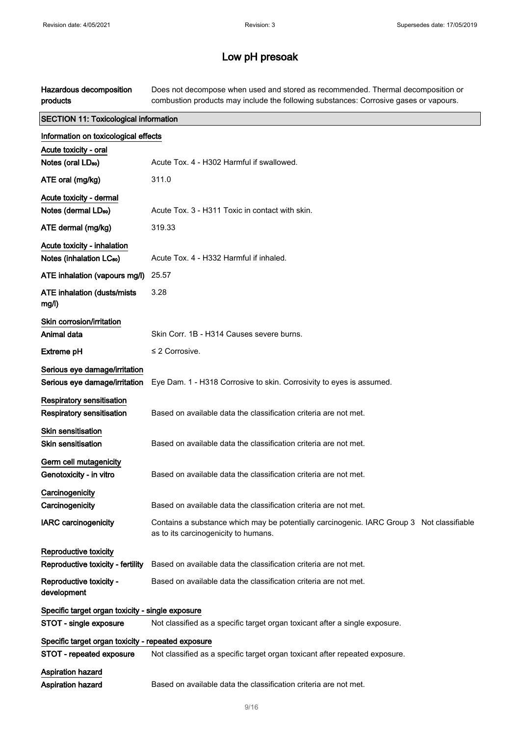Hazardous decomposition products Does not decompose when used and stored as recommended. Thermal decomposition or combustion products may include the following substances: Corrosive gases or vapours.

| <b>SECTION 11: Toxicological information</b>       |                                                                                                                                   |  |  |
|----------------------------------------------------|-----------------------------------------------------------------------------------------------------------------------------------|--|--|
| Information on toxicological effects               |                                                                                                                                   |  |  |
| Acute toxicity - oral                              |                                                                                                                                   |  |  |
| Notes (oral LD <sub>50</sub> )                     | Acute Tox. 4 - H302 Harmful if swallowed.                                                                                         |  |  |
| ATE oral (mg/kg)                                   | 311.0                                                                                                                             |  |  |
| Acute toxicity - dermal                            |                                                                                                                                   |  |  |
| Notes (dermal LD <sub>50</sub> )                   | Acute Tox. 3 - H311 Toxic in contact with skin.                                                                                   |  |  |
| ATE dermal (mg/kg)                                 | 319.33                                                                                                                            |  |  |
| Acute toxicity - inhalation                        |                                                                                                                                   |  |  |
| Notes (inhalation LC <sub>50</sub> )               | Acute Tox. 4 - H332 Harmful if inhaled.                                                                                           |  |  |
| ATE inhalation (vapours mg/l)                      | 25.57                                                                                                                             |  |  |
| ATE inhalation (dusts/mists<br>mg/l)               | 3.28                                                                                                                              |  |  |
| Skin corrosion/irritation                          |                                                                                                                                   |  |  |
| Animal data                                        | Skin Corr. 1B - H314 Causes severe burns.                                                                                         |  |  |
| <b>Extreme pH</b>                                  | $\leq$ 2 Corrosive.                                                                                                               |  |  |
| Serious eye damage/irritation                      |                                                                                                                                   |  |  |
| Serious eye damage/irritation                      | Eye Dam. 1 - H318 Corrosive to skin. Corrosivity to eyes is assumed.                                                              |  |  |
| Respiratory sensitisation                          |                                                                                                                                   |  |  |
| Respiratory sensitisation                          | Based on available data the classification criteria are not met.                                                                  |  |  |
| <b>Skin sensitisation</b>                          |                                                                                                                                   |  |  |
| <b>Skin sensitisation</b>                          | Based on available data the classification criteria are not met.                                                                  |  |  |
| Germ cell mutagenicity                             |                                                                                                                                   |  |  |
| Genotoxicity - in vitro                            | Based on available data the classification criteria are not met.                                                                  |  |  |
| Carcinogenicity                                    |                                                                                                                                   |  |  |
| Carcinogenicity                                    | Based on available data the classification criteria are not met.                                                                  |  |  |
| <b>IARC</b> carcinogenicity                        | Contains a substance which may be potentially carcinogenic. IARC Group 3 Not classifiable<br>as to its carcinogenicity to humans. |  |  |
| Reproductive toxicity                              |                                                                                                                                   |  |  |
| Reproductive toxicity - fertility                  | Based on available data the classification criteria are not met.                                                                  |  |  |
| Reproductive toxicity -<br>development             | Based on available data the classification criteria are not met.                                                                  |  |  |
| Specific target organ toxicity - single exposure   |                                                                                                                                   |  |  |
| STOT - single exposure                             | Not classified as a specific target organ toxicant after a single exposure.                                                       |  |  |
| Specific target organ toxicity - repeated exposure |                                                                                                                                   |  |  |
| STOT - repeated exposure                           | Not classified as a specific target organ toxicant after repeated exposure.                                                       |  |  |
| <b>Aspiration hazard</b>                           |                                                                                                                                   |  |  |
| Aspiration hazard                                  | Based on available data the classification criteria are not met.                                                                  |  |  |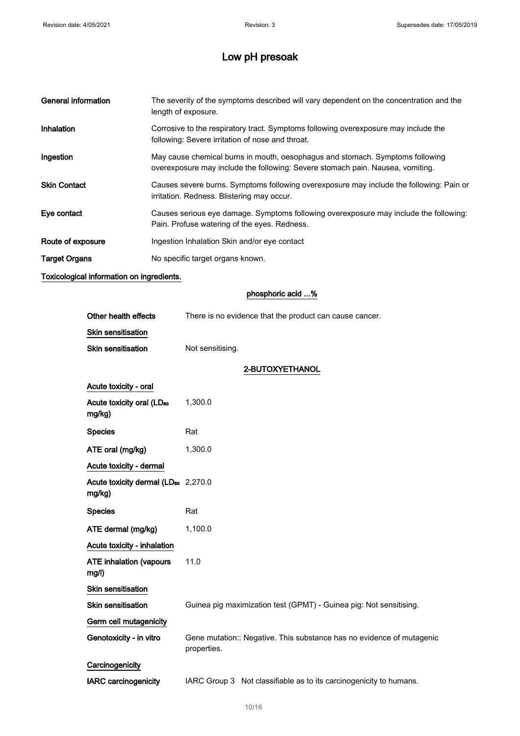| General information  | The severity of the symptoms described will vary dependent on the concentration and the<br>length of exposure.                                                  |
|----------------------|-----------------------------------------------------------------------------------------------------------------------------------------------------------------|
| <b>Inhalation</b>    | Corrosive to the respiratory tract. Symptoms following overexposure may include the<br>following: Severe irritation of nose and throat.                         |
| Ingestion            | May cause chemical burns in mouth, oesophagus and stomach. Symptoms following<br>overexposure may include the following: Severe stomach pain. Nausea, vomiting. |
| <b>Skin Contact</b>  | Causes severe burns. Symptoms following overexposure may include the following: Pain or<br>irritation. Redness. Blistering may occur.                           |
| Eye contact          | Causes serious eye damage. Symptoms following overexposure may include the following:<br>Pain. Profuse watering of the eyes. Redness.                           |
| Route of exposure    | Ingestion Inhalation Skin and/or eye contact                                                                                                                    |
| <b>Target Organs</b> | No specific target organs known.                                                                                                                                |
|                      |                                                                                                                                                                 |

#### Toxicological information on ingredients.

## phosphoric acid ...%

| Other health effects                                      | There is no evidence that the product can cause cancer.                              |
|-----------------------------------------------------------|--------------------------------------------------------------------------------------|
| Skin sensitisation                                        |                                                                                      |
| <b>Skin sensitisation</b>                                 | Not sensitising.                                                                     |
|                                                           | 2-BUTOXYETHANOL                                                                      |
| Acute toxicity - oral                                     |                                                                                      |
| Acute toxicity oral (LD <sub>50</sub><br>mg/kg)           | 1,300.0                                                                              |
| <b>Species</b>                                            | Rat                                                                                  |
| ATE oral (mg/kg)                                          | 1,300.0                                                                              |
| Acute toxicity - dermal                                   |                                                                                      |
| Acute toxicity dermal (LD <sub>50</sub> 2,270.0<br>mg/kg) |                                                                                      |
| <b>Species</b>                                            | Rat                                                                                  |
| ATE dermal (mg/kg)                                        | 1,100.0                                                                              |
| Acute toxicity - inhalation                               |                                                                                      |
| <b>ATE inhalation (vapours</b><br>mg/l)                   | 11.0                                                                                 |
| <b>Skin sensitisation</b>                                 |                                                                                      |
| Skin sensitisation                                        | Guinea pig maximization test (GPMT) - Guinea pig: Not sensitising.                   |
| Germ cell mutagenicity                                    |                                                                                      |
| Genotoxicity - in vitro                                   | Gene mutation:: Negative. This substance has no evidence of mutagenic<br>properties. |
| Carcinogenicity                                           |                                                                                      |
| <b>IARC</b> carcinogenicity                               | IARC Group 3 Not classifiable as to its carcinogenicity to humans.                   |
|                                                           |                                                                                      |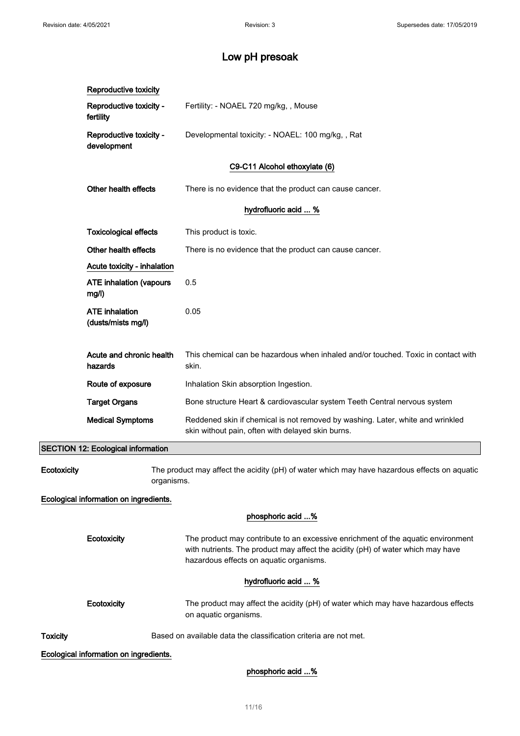| Reproductive toxicity -<br>Fertility: - NOAEL 720 mg/kg,, Mouse<br>fertility<br>Reproductive toxicity -<br>Developmental toxicity: - NOAEL: 100 mg/kg,, Rat<br>development<br>C9-C11 Alcohol ethoxylate (6)<br>Other health effects<br>There is no evidence that the product can cause cancer.<br>hydrofluoric acid  %<br><b>Toxicological effects</b><br>This product is toxic.<br>Other health effects<br>There is no evidence that the product can cause cancer.<br>Acute toxicity - inhalation<br>0.5<br><b>ATE inhalation (vapours</b><br>mg/l)<br><b>ATE</b> inhalation<br>0.05<br>(dusts/mists mg/l)<br>Acute and chronic health<br>This chemical can be hazardous when inhaled and/or touched. Toxic in contact with<br>hazards<br>skin.<br>Route of exposure<br>Inhalation Skin absorption Ingestion.<br><b>Target Organs</b><br>Bone structure Heart & cardiovascular system Teeth Central nervous system<br>Reddened skin if chemical is not removed by washing. Later, white and wrinkled<br><b>Medical Symptoms</b><br>skin without pain, often with delayed skin burns.<br><b>SECTION 12: Ecological information</b><br>Ecotoxicity<br>The product may affect the acidity (pH) of water which may have hazardous effects on aquatic<br>organisms.<br>Ecological information on ingredients.<br>phosphoric acid %<br>Ecotoxicity<br>The product may contribute to an excessive enrichment of the aquatic environment<br>with nutrients. The product may affect the acidity (pH) of water which may have<br>hazardous effects on aquatic organisms.<br>hydrofluoric acid  %<br>Ecotoxicity<br>The product may affect the acidity (pH) of water which may have hazardous effects<br>on aquatic organisms.<br>Based on available data the classification criteria are not met.<br><b>Toxicity</b><br>Ecological information on ingredients. |  | Reproductive toxicity |  |
|-------------------------------------------------------------------------------------------------------------------------------------------------------------------------------------------------------------------------------------------------------------------------------------------------------------------------------------------------------------------------------------------------------------------------------------------------------------------------------------------------------------------------------------------------------------------------------------------------------------------------------------------------------------------------------------------------------------------------------------------------------------------------------------------------------------------------------------------------------------------------------------------------------------------------------------------------------------------------------------------------------------------------------------------------------------------------------------------------------------------------------------------------------------------------------------------------------------------------------------------------------------------------------------------------------------------------------------------------------------------------------------------------------------------------------------------------------------------------------------------------------------------------------------------------------------------------------------------------------------------------------------------------------------------------------------------------------------------------------------------------------------------------------------------------------------------------------------------------------|--|-----------------------|--|
|                                                                                                                                                                                                                                                                                                                                                                                                                                                                                                                                                                                                                                                                                                                                                                                                                                                                                                                                                                                                                                                                                                                                                                                                                                                                                                                                                                                                                                                                                                                                                                                                                                                                                                                                                                                                                                                       |  |                       |  |
|                                                                                                                                                                                                                                                                                                                                                                                                                                                                                                                                                                                                                                                                                                                                                                                                                                                                                                                                                                                                                                                                                                                                                                                                                                                                                                                                                                                                                                                                                                                                                                                                                                                                                                                                                                                                                                                       |  |                       |  |
|                                                                                                                                                                                                                                                                                                                                                                                                                                                                                                                                                                                                                                                                                                                                                                                                                                                                                                                                                                                                                                                                                                                                                                                                                                                                                                                                                                                                                                                                                                                                                                                                                                                                                                                                                                                                                                                       |  |                       |  |
|                                                                                                                                                                                                                                                                                                                                                                                                                                                                                                                                                                                                                                                                                                                                                                                                                                                                                                                                                                                                                                                                                                                                                                                                                                                                                                                                                                                                                                                                                                                                                                                                                                                                                                                                                                                                                                                       |  |                       |  |
|                                                                                                                                                                                                                                                                                                                                                                                                                                                                                                                                                                                                                                                                                                                                                                                                                                                                                                                                                                                                                                                                                                                                                                                                                                                                                                                                                                                                                                                                                                                                                                                                                                                                                                                                                                                                                                                       |  |                       |  |
|                                                                                                                                                                                                                                                                                                                                                                                                                                                                                                                                                                                                                                                                                                                                                                                                                                                                                                                                                                                                                                                                                                                                                                                                                                                                                                                                                                                                                                                                                                                                                                                                                                                                                                                                                                                                                                                       |  |                       |  |
|                                                                                                                                                                                                                                                                                                                                                                                                                                                                                                                                                                                                                                                                                                                                                                                                                                                                                                                                                                                                                                                                                                                                                                                                                                                                                                                                                                                                                                                                                                                                                                                                                                                                                                                                                                                                                                                       |  |                       |  |
|                                                                                                                                                                                                                                                                                                                                                                                                                                                                                                                                                                                                                                                                                                                                                                                                                                                                                                                                                                                                                                                                                                                                                                                                                                                                                                                                                                                                                                                                                                                                                                                                                                                                                                                                                                                                                                                       |  |                       |  |
|                                                                                                                                                                                                                                                                                                                                                                                                                                                                                                                                                                                                                                                                                                                                                                                                                                                                                                                                                                                                                                                                                                                                                                                                                                                                                                                                                                                                                                                                                                                                                                                                                                                                                                                                                                                                                                                       |  |                       |  |
|                                                                                                                                                                                                                                                                                                                                                                                                                                                                                                                                                                                                                                                                                                                                                                                                                                                                                                                                                                                                                                                                                                                                                                                                                                                                                                                                                                                                                                                                                                                                                                                                                                                                                                                                                                                                                                                       |  |                       |  |
|                                                                                                                                                                                                                                                                                                                                                                                                                                                                                                                                                                                                                                                                                                                                                                                                                                                                                                                                                                                                                                                                                                                                                                                                                                                                                                                                                                                                                                                                                                                                                                                                                                                                                                                                                                                                                                                       |  |                       |  |
|                                                                                                                                                                                                                                                                                                                                                                                                                                                                                                                                                                                                                                                                                                                                                                                                                                                                                                                                                                                                                                                                                                                                                                                                                                                                                                                                                                                                                                                                                                                                                                                                                                                                                                                                                                                                                                                       |  |                       |  |
|                                                                                                                                                                                                                                                                                                                                                                                                                                                                                                                                                                                                                                                                                                                                                                                                                                                                                                                                                                                                                                                                                                                                                                                                                                                                                                                                                                                                                                                                                                                                                                                                                                                                                                                                                                                                                                                       |  |                       |  |
|                                                                                                                                                                                                                                                                                                                                                                                                                                                                                                                                                                                                                                                                                                                                                                                                                                                                                                                                                                                                                                                                                                                                                                                                                                                                                                                                                                                                                                                                                                                                                                                                                                                                                                                                                                                                                                                       |  |                       |  |
|                                                                                                                                                                                                                                                                                                                                                                                                                                                                                                                                                                                                                                                                                                                                                                                                                                                                                                                                                                                                                                                                                                                                                                                                                                                                                                                                                                                                                                                                                                                                                                                                                                                                                                                                                                                                                                                       |  |                       |  |
|                                                                                                                                                                                                                                                                                                                                                                                                                                                                                                                                                                                                                                                                                                                                                                                                                                                                                                                                                                                                                                                                                                                                                                                                                                                                                                                                                                                                                                                                                                                                                                                                                                                                                                                                                                                                                                                       |  |                       |  |
|                                                                                                                                                                                                                                                                                                                                                                                                                                                                                                                                                                                                                                                                                                                                                                                                                                                                                                                                                                                                                                                                                                                                                                                                                                                                                                                                                                                                                                                                                                                                                                                                                                                                                                                                                                                                                                                       |  |                       |  |
|                                                                                                                                                                                                                                                                                                                                                                                                                                                                                                                                                                                                                                                                                                                                                                                                                                                                                                                                                                                                                                                                                                                                                                                                                                                                                                                                                                                                                                                                                                                                                                                                                                                                                                                                                                                                                                                       |  |                       |  |
|                                                                                                                                                                                                                                                                                                                                                                                                                                                                                                                                                                                                                                                                                                                                                                                                                                                                                                                                                                                                                                                                                                                                                                                                                                                                                                                                                                                                                                                                                                                                                                                                                                                                                                                                                                                                                                                       |  |                       |  |
|                                                                                                                                                                                                                                                                                                                                                                                                                                                                                                                                                                                                                                                                                                                                                                                                                                                                                                                                                                                                                                                                                                                                                                                                                                                                                                                                                                                                                                                                                                                                                                                                                                                                                                                                                                                                                                                       |  |                       |  |
|                                                                                                                                                                                                                                                                                                                                                                                                                                                                                                                                                                                                                                                                                                                                                                                                                                                                                                                                                                                                                                                                                                                                                                                                                                                                                                                                                                                                                                                                                                                                                                                                                                                                                                                                                                                                                                                       |  |                       |  |
|                                                                                                                                                                                                                                                                                                                                                                                                                                                                                                                                                                                                                                                                                                                                                                                                                                                                                                                                                                                                                                                                                                                                                                                                                                                                                                                                                                                                                                                                                                                                                                                                                                                                                                                                                                                                                                                       |  |                       |  |
|                                                                                                                                                                                                                                                                                                                                                                                                                                                                                                                                                                                                                                                                                                                                                                                                                                                                                                                                                                                                                                                                                                                                                                                                                                                                                                                                                                                                                                                                                                                                                                                                                                                                                                                                                                                                                                                       |  |                       |  |

## phosphoric acid ...%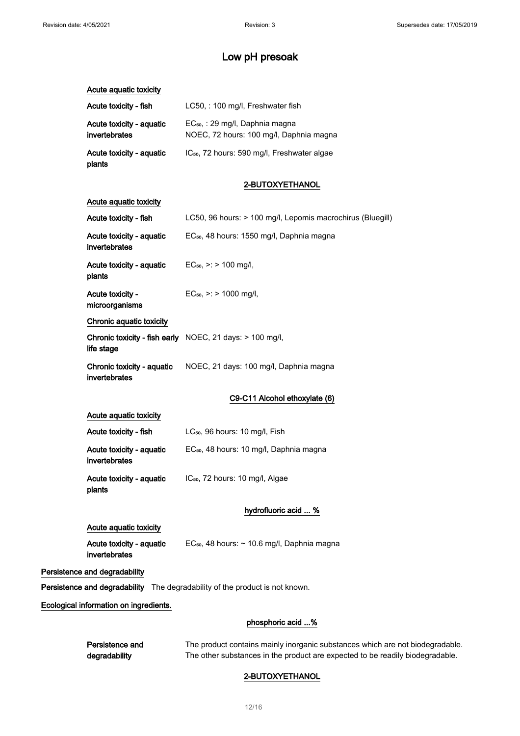| Acute aquatic toxicity                    |                                                                                        |  |
|-------------------------------------------|----------------------------------------------------------------------------------------|--|
| Acute toxicity - fish                     | LC50, : 100 mg/l, Freshwater fish                                                      |  |
| Acute toxicity - aquatic<br>invertebrates | EC <sub>50</sub> , : 29 mg/l, Daphnia magna<br>NOEC, 72 hours: 100 mg/l, Daphnia magna |  |
| Acute toxicity - aquatic<br>plants        | IC <sub>50</sub> , 72 hours: 590 mg/l, Freshwater algae                                |  |

#### 2-BUTOXYETHANOL

#### Acute aquatic toxicity

| Acute toxicity - fish                       | LC50, 96 hours: > 100 mg/l, Lepomis macrochirus (Bluegill)        |
|---------------------------------------------|-------------------------------------------------------------------|
| Acute toxicity - aquatic<br>invertebrates   | EC <sub>50</sub> , 48 hours: 1550 mg/l, Daphnia magna             |
| Acute toxicity - aquatic<br>plants          | $EC_{50}$ , >: > 100 mg/l,                                        |
| Acute toxicity -<br>microorganisms          | $EC_{50}$ , >: > 1000 mg/l,                                       |
| Chronic aquatic toxicity                    |                                                                   |
| life stage                                  | <b>Chronic toxicity - fish early</b> NOEC, 21 days: $> 100$ mg/l, |
| Chronic toxicity - aquatic<br>invertebrates | NOEC, 21 days: 100 mg/l, Daphnia magna                            |
|                                             | C9-C11 Alcohol ethoxylate (6)                                     |
| Acute aguatic toxicity                      |                                                                   |

| Acute toxicity - fish                     | LC <sub>50</sub> , 96 hours: 10 mg/l, Fish          |
|-------------------------------------------|-----------------------------------------------------|
| Acute toxicity - aquatic<br>invertebrates | EC <sub>50</sub> , 48 hours: 10 mg/l, Daphnia magna |
| Acute toxicity - aquatic<br>plants        | IC <sub>50</sub> , 72 hours: 10 mg/l, Algae         |

#### hydrofluoric acid ... %

#### Acute aquatic toxicity

| Acute toxicity - aquatic | $EC_{50}$ , 48 hours: ~ 10.6 mg/l, Daphnia magna |  |
|--------------------------|--------------------------------------------------|--|
| invertebrates            |                                                  |  |

#### Persistence and degradability

Persistence and degradability The degradability of the product is not known.

Ecological information on ingredients.

#### phosphoric acid ...%

| Persistence and | The product contains mainly inorganic substances which are not biodegradable. |
|-----------------|-------------------------------------------------------------------------------|
| degradability   | The other substances in the product are expected to be readily biodegradable. |

### 2-BUTOXYETHANOL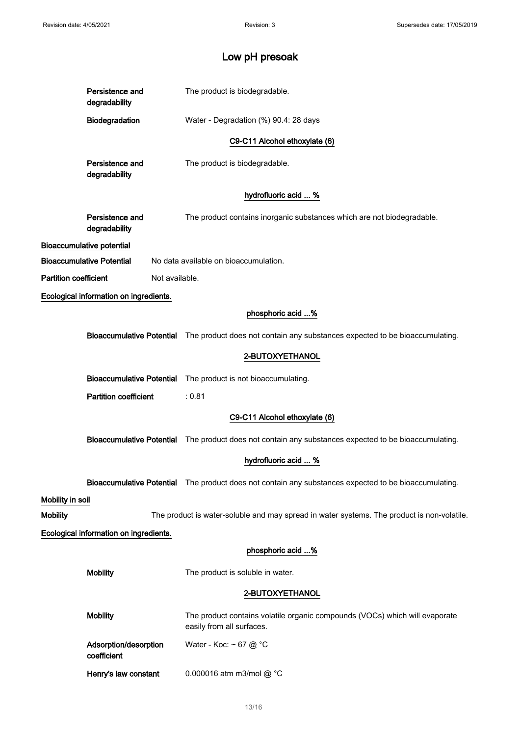|                                        | Persistence and<br>degradability       | The product is biodegradable.                                                                            |  |
|----------------------------------------|----------------------------------------|----------------------------------------------------------------------------------------------------------|--|
|                                        | Biodegradation                         | Water - Degradation (%) 90.4: 28 days                                                                    |  |
|                                        |                                        | C9-C11 Alcohol ethoxylate (6)                                                                            |  |
|                                        | Persistence and<br>degradability       | The product is biodegradable.                                                                            |  |
|                                        |                                        | hydrofluoric acid  %                                                                                     |  |
|                                        | Persistence and<br>degradability       | The product contains inorganic substances which are not biodegradable.                                   |  |
|                                        | <b>Bioaccumulative potential</b>       |                                                                                                          |  |
|                                        | <b>Bioaccumulative Potential</b>       | No data available on bioaccumulation.                                                                    |  |
| <b>Partition coefficient</b>           | Not available.                         |                                                                                                          |  |
|                                        | Ecological information on ingredients. |                                                                                                          |  |
|                                        |                                        | phosphoric acid %                                                                                        |  |
|                                        | <b>Bioaccumulative Potential</b>       | The product does not contain any substances expected to be bioaccumulating.                              |  |
|                                        | 2-BUTOXYETHANOL                        |                                                                                                          |  |
|                                        | <b>Bioaccumulative Potential</b>       | The product is not bioaccumulating.                                                                      |  |
|                                        | <b>Partition coefficient</b>           | : 0.81                                                                                                   |  |
|                                        | C9-C11 Alcohol ethoxylate (6)          |                                                                                                          |  |
|                                        | <b>Bioaccumulative Potential</b>       | The product does not contain any substances expected to be bioaccumulating.                              |  |
|                                        | hydrofluoric acid  %                   |                                                                                                          |  |
|                                        |                                        | Bioaccumulative Potential The product does not contain any substances expected to be bioaccumulating.    |  |
| Mobility in soil                       |                                        |                                                                                                          |  |
| <b>Mobility</b>                        |                                        | The product is water-soluble and may spread in water systems. The product is non-volatile.               |  |
| Ecological information on ingredients. |                                        |                                                                                                          |  |
|                                        |                                        | phosphoric acid %                                                                                        |  |
|                                        | <b>Mobility</b>                        | The product is soluble in water.                                                                         |  |
| 2-BUTOXYETHANOL                        |                                        |                                                                                                          |  |
|                                        | <b>Mobility</b>                        | The product contains volatile organic compounds (VOCs) which will evaporate<br>easily from all surfaces. |  |
|                                        | Adsorption/desorption<br>coefficient   | Water - Koc: $\sim$ 67 @ °C                                                                              |  |
|                                        | Henry's law constant                   | 0.000016 atm m3/mol @ °C                                                                                 |  |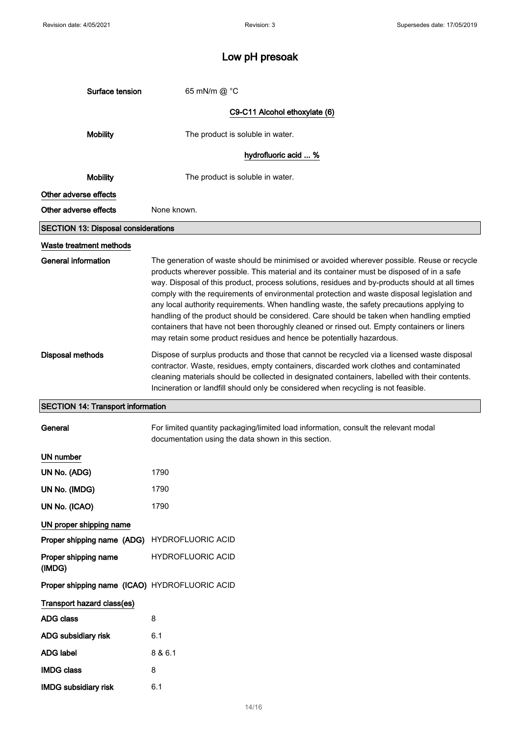| Surface tension                               | 65 mN/m @ °C                                                                                                                                                                                                                                                                                                                                                                                                                                                                                                                                                                                                                                                                                                                                            |  |
|-----------------------------------------------|---------------------------------------------------------------------------------------------------------------------------------------------------------------------------------------------------------------------------------------------------------------------------------------------------------------------------------------------------------------------------------------------------------------------------------------------------------------------------------------------------------------------------------------------------------------------------------------------------------------------------------------------------------------------------------------------------------------------------------------------------------|--|
|                                               | C9-C11 Alcohol ethoxylate (6)                                                                                                                                                                                                                                                                                                                                                                                                                                                                                                                                                                                                                                                                                                                           |  |
| <b>Mobility</b>                               | The product is soluble in water.                                                                                                                                                                                                                                                                                                                                                                                                                                                                                                                                                                                                                                                                                                                        |  |
|                                               | hydrofluoric acid  %                                                                                                                                                                                                                                                                                                                                                                                                                                                                                                                                                                                                                                                                                                                                    |  |
| <b>Mobility</b>                               | The product is soluble in water.                                                                                                                                                                                                                                                                                                                                                                                                                                                                                                                                                                                                                                                                                                                        |  |
| Other adverse effects                         |                                                                                                                                                                                                                                                                                                                                                                                                                                                                                                                                                                                                                                                                                                                                                         |  |
| Other adverse effects                         | None known.                                                                                                                                                                                                                                                                                                                                                                                                                                                                                                                                                                                                                                                                                                                                             |  |
| <b>SECTION 13: Disposal considerations</b>    |                                                                                                                                                                                                                                                                                                                                                                                                                                                                                                                                                                                                                                                                                                                                                         |  |
| Waste treatment methods                       |                                                                                                                                                                                                                                                                                                                                                                                                                                                                                                                                                                                                                                                                                                                                                         |  |
| <b>General information</b>                    | The generation of waste should be minimised or avoided wherever possible. Reuse or recycle<br>products wherever possible. This material and its container must be disposed of in a safe<br>way. Disposal of this product, process solutions, residues and by-products should at all times<br>comply with the requirements of environmental protection and waste disposal legislation and<br>any local authority requirements. When handling waste, the safety precautions applying to<br>handling of the product should be considered. Care should be taken when handling emptied<br>containers that have not been thoroughly cleaned or rinsed out. Empty containers or liners<br>may retain some product residues and hence be potentially hazardous. |  |
| <b>Disposal methods</b>                       | Dispose of surplus products and those that cannot be recycled via a licensed waste disposal<br>contractor. Waste, residues, empty containers, discarded work clothes and contaminated<br>cleaning materials should be collected in designated containers, labelled with their contents.<br>Incineration or landfill should only be considered when recycling is not feasible.                                                                                                                                                                                                                                                                                                                                                                           |  |
| <b>SECTION 14: Transport information</b>      |                                                                                                                                                                                                                                                                                                                                                                                                                                                                                                                                                                                                                                                                                                                                                         |  |
|                                               |                                                                                                                                                                                                                                                                                                                                                                                                                                                                                                                                                                                                                                                                                                                                                         |  |
| General                                       | For limited quantity packaging/limited load information, consult the relevant modal<br>documentation using the data shown in this section.                                                                                                                                                                                                                                                                                                                                                                                                                                                                                                                                                                                                              |  |
| UN number                                     |                                                                                                                                                                                                                                                                                                                                                                                                                                                                                                                                                                                                                                                                                                                                                         |  |
| UN No. (ADG)                                  | 1790                                                                                                                                                                                                                                                                                                                                                                                                                                                                                                                                                                                                                                                                                                                                                    |  |
| UN No. (IMDG)                                 | 1790                                                                                                                                                                                                                                                                                                                                                                                                                                                                                                                                                                                                                                                                                                                                                    |  |
| UN No. (ICAO)                                 | 1790                                                                                                                                                                                                                                                                                                                                                                                                                                                                                                                                                                                                                                                                                                                                                    |  |
| UN proper shipping name                       |                                                                                                                                                                                                                                                                                                                                                                                                                                                                                                                                                                                                                                                                                                                                                         |  |
| Proper shipping name (ADG)                    | <b>HYDROFLUORIC ACID</b>                                                                                                                                                                                                                                                                                                                                                                                                                                                                                                                                                                                                                                                                                                                                |  |
| Proper shipping name<br>(IMDG)                | <b>HYDROFLUORIC ACID</b>                                                                                                                                                                                                                                                                                                                                                                                                                                                                                                                                                                                                                                                                                                                                |  |
| Proper shipping name (ICAO) HYDROFLUORIC ACID |                                                                                                                                                                                                                                                                                                                                                                                                                                                                                                                                                                                                                                                                                                                                                         |  |
| Transport hazard class(es)                    |                                                                                                                                                                                                                                                                                                                                                                                                                                                                                                                                                                                                                                                                                                                                                         |  |
| <b>ADG class</b>                              | 8                                                                                                                                                                                                                                                                                                                                                                                                                                                                                                                                                                                                                                                                                                                                                       |  |
| ADG subsidiary risk                           | 6.1                                                                                                                                                                                                                                                                                                                                                                                                                                                                                                                                                                                                                                                                                                                                                     |  |
| <b>ADG label</b>                              | 8 & 6.1                                                                                                                                                                                                                                                                                                                                                                                                                                                                                                                                                                                                                                                                                                                                                 |  |
| <b>IMDG class</b>                             | 8                                                                                                                                                                                                                                                                                                                                                                                                                                                                                                                                                                                                                                                                                                                                                       |  |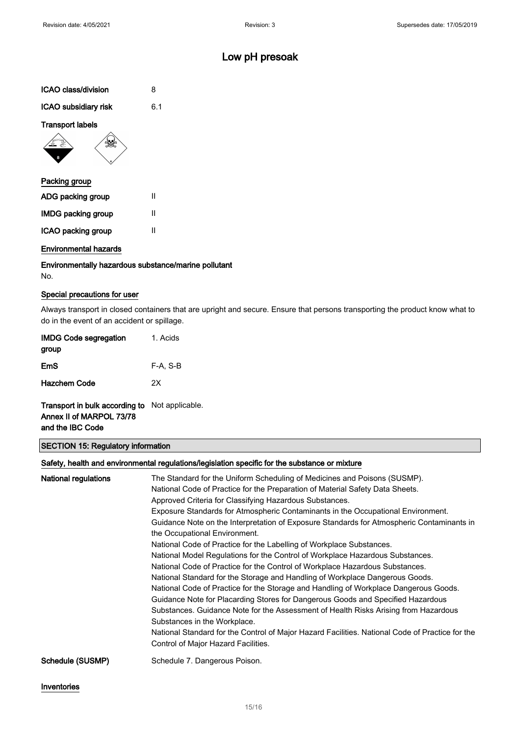| ICAO class/division  | 8   |  |
|----------------------|-----|--|
| ICAO subsidiary risk | 6.1 |  |
| Transport labels     |     |  |
|                      |     |  |



| Packing group             |   |
|---------------------------|---|
| ADG packing group         | Ш |
| <b>IMDG packing group</b> | Ш |
| ICAO packing group        | Ш |

#### Environmental hazards

Environmentally hazardous substance/marine pollutant No.

#### Special precautions for user

Always transport in closed containers that are upright and secure. Ensure that persons transporting the product know what to do in the event of an accident or spillage.

| 1. Acids   |
|------------|
|            |
| $F-A. S-B$ |
| 2x         |
|            |

Transport in bulk according to Not applicable. Annex II of MARPOL 73/78 and the IBC Code

### SECTION 15: Regulatory information

#### Safety, health and environmental regulations/legislation specific for the substance or mixture

| National regulations | The Standard for the Uniform Scheduling of Medicines and Poisons (SUSMP).                       |
|----------------------|-------------------------------------------------------------------------------------------------|
|                      | National Code of Practice for the Preparation of Material Safety Data Sheets.                   |
|                      | Approved Criteria for Classifying Hazardous Substances.                                         |
|                      | Exposure Standards for Atmospheric Contaminants in the Occupational Environment.                |
|                      | Guidance Note on the Interpretation of Exposure Standards for Atmospheric Contaminants in       |
|                      | the Occupational Environment.                                                                   |
|                      | National Code of Practice for the Labelling of Workplace Substances.                            |
|                      | National Model Regulations for the Control of Workplace Hazardous Substances.                   |
|                      | National Code of Practice for the Control of Workplace Hazardous Substances.                    |
|                      | National Standard for the Storage and Handling of Workplace Dangerous Goods.                    |
|                      | National Code of Practice for the Storage and Handling of Workplace Dangerous Goods.            |
|                      | Guidance Note for Placarding Stores for Dangerous Goods and Specified Hazardous                 |
|                      | Substances. Guidance Note for the Assessment of Health Risks Arising from Hazardous             |
|                      | Substances in the Workplace.                                                                    |
|                      | National Standard for the Control of Major Hazard Facilities. National Code of Practice for the |
|                      | Control of Major Hazard Facilities.                                                             |
| Schedule (SUSMP)     | Schedule 7. Dangerous Poison.                                                                   |